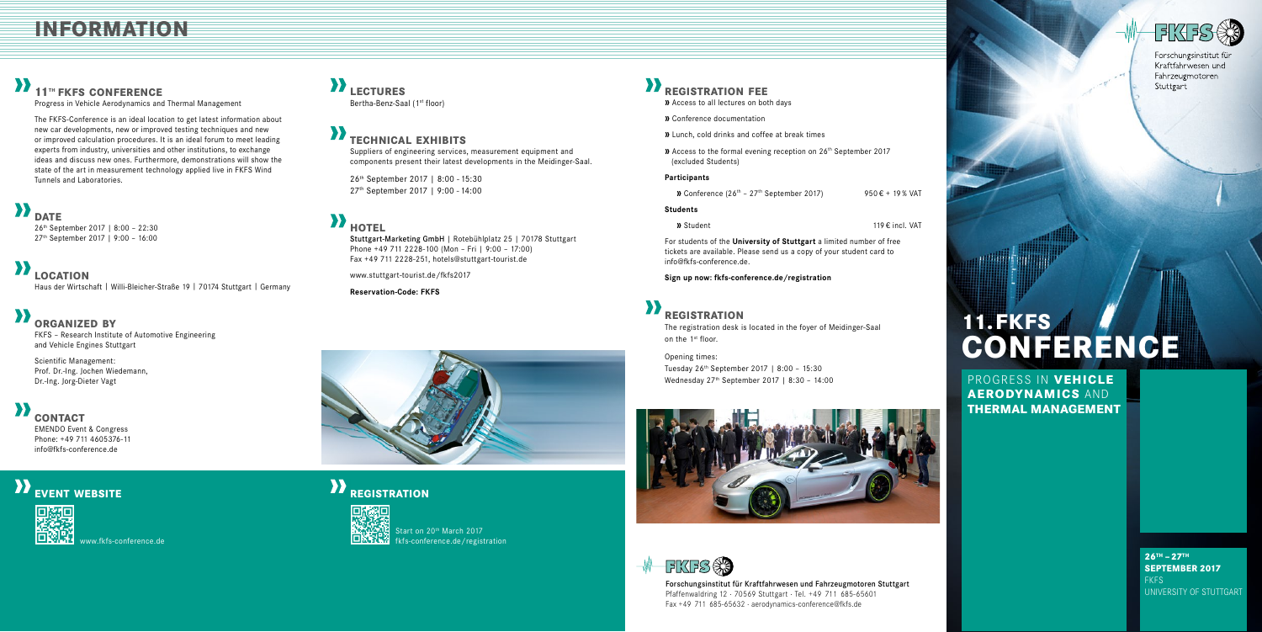Start on 20<sup>th</sup> March 2017 fkfs-conference.de/registration

> Forschungsinstitut für Kraftfahrwesen und Fahrzeugmotoren Stuttgart Pfaffenwaldring 12 · 70569 Stuttgart · Tel. +49 711 685-65601 Fax +49 711 685-65632 · aerodynamics-conference@fkfs.de



Forschungsinstitut für Kraftfahrwesen und Fahrzeugmotoren Stuttgart



## **lectures**

Bertha-Benz-Saal (1<sup>st</sup> floor)

PROGRESS IN **VEHICLE AERODYNAMICS** AND **THERMAL MANAGEMENT**

> **26TH – 27TH SEPTEMBER 2017** FKFS UNIVERSITY OF STUTTGART

# **11. FKFS CONFERENCE**

### **information**

### **11th fkfs conference**

Progress in Vehicle Aerodynamics and Thermal Management

The FKFS-Conference is an ideal location to get latest information about new car developments, new or improved testing techniques and new or improved calculation procedures. It is an ideal forum to meet leading experts from industry, universities and other institutions, to exchange ideas and discuss new ones. Furthermore, demonstrations will show the state of the art in measurement technology applied live in FKFS Wind Tunnels and Laboratories.

### **d**<br>DATE

The registration desk is located in the foyer of Meidinger-Saal on the 1<sup>st</sup> floor.

26th September 2017 | 8:00 – 22:30 27th September 2017 | 9:00 – 16:00

## **LOCATION**

Haus der Wirtschaft | Willi-Bleicher-Straße 19 | 70174 Stuttgart | Germany

### **organized by**

FKFS – Research Institute of Automotive Engineering and Vehicle Engines Stuttgart

Scientific Management: Prof. Dr.-Ing. Jochen Wiedemann, Dr.-Ing. Jorg-Dieter Vagt

### **contact**

EMENDO Event & Congress Phone: +49 711 4605376-11 info@fkfs-conference.de

### **EVENT WEBSITE**

### **registration fee**

- **»** Access to all lectures on both days
- **»** Conference documentation
- **»** Lunch, cold drinks and coffee at break times
- **»** Access to the formal evening reception on 26<sup>th</sup> September 2017 (excluded Students)

### **Participants**

**»** Conference  $(26^{th} - 27^{th}$  September 2017) 950 € + 19 % VAT

### **Students**

**»** Student **119**  $\epsilon$  incl. VAT

For students of the **University of Stuttgart** a limited number of free tickets are available. Please send us a copy of your student card to info@fkfs-conference.de.

### **Sign up now: fkfs-conference.de/registration**

## **X**<br>**REGISTRATION**

### Opening times: Tuesday 26th September 2017 | 8:00 – 15:30 Wednesday 27th September 2017 | 8:30 – 14:00



**FIKESSS** 

### **technical exhibits**

Suppliers of engineering services, measurement equipment and components present their latest developments in the Meidinger-Saal.

26th September 2017 | 8:00 - 15:30 27th September 2017 | 9:00 - 14:00

### **hotel**

Stuttgart-Marketing GmbH | Rotebühlplatz 25 | 70178 Stuttgart Phone +49 711 2228-100 (Mon – Fri | 9:00 – 17:00) Fax +49 711 2228-251, hotels@stuttgart-tourist.de

www.stuttgart-tourist.de/fkfs2017

**Reservation-Code: FKFS**



## **XREGISTRATION**